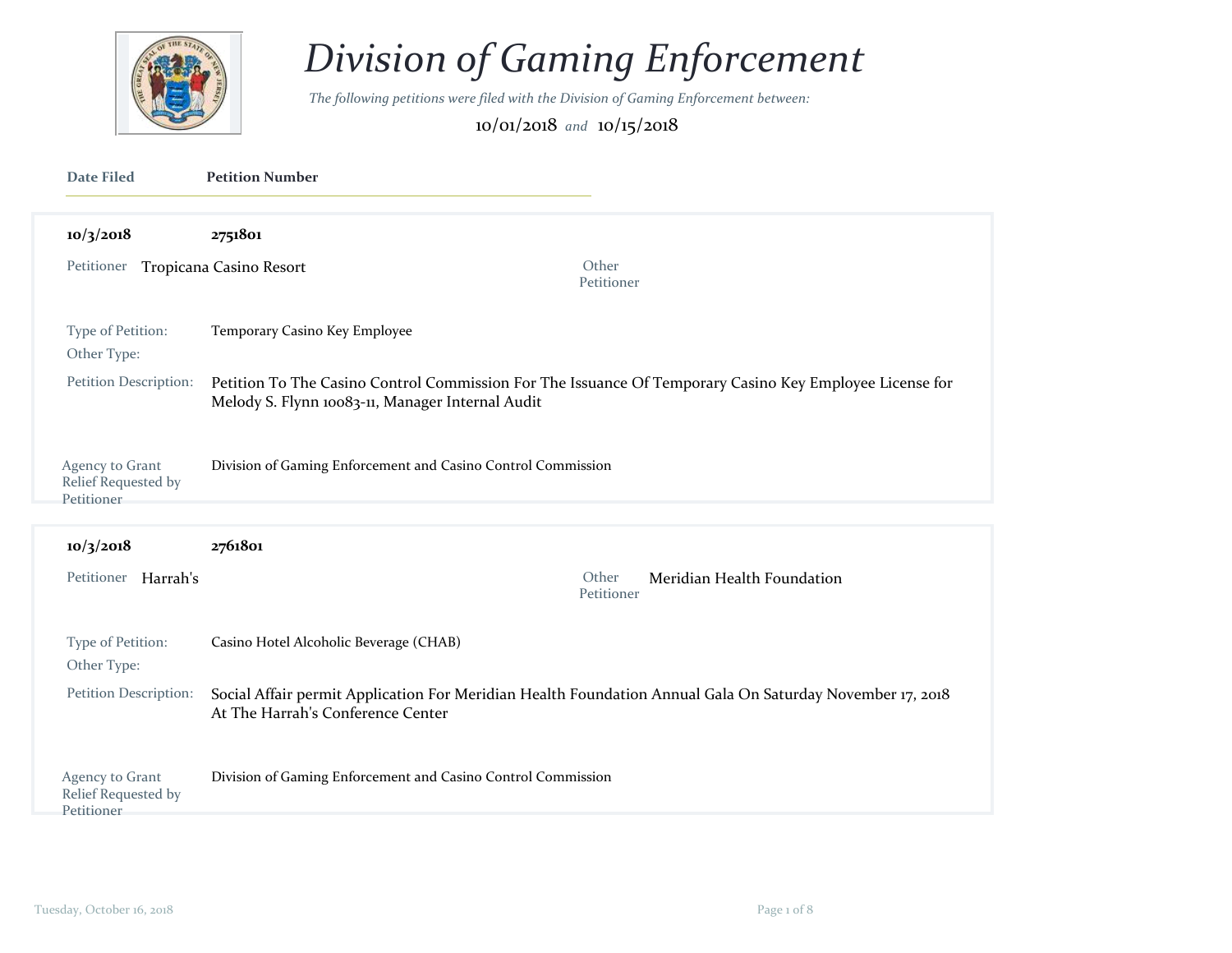

## *Division of Gaming Enforcement*

*The following petitions were filed with the Division of Gaming Enforcement between:* 

10/01/2018 *and* 10/15/2018

| Date Filed                                           | <b>Petition Number</b>                                                                                                                                      |                                          |
|------------------------------------------------------|-------------------------------------------------------------------------------------------------------------------------------------------------------------|------------------------------------------|
| 10/3/2018                                            | 2751801                                                                                                                                                     |                                          |
| Petitioner Tropicana Casino Resort                   | Other                                                                                                                                                       | Petitioner                               |
| Type of Petition:<br>Other Type:                     | Temporary Casino Key Employee                                                                                                                               |                                          |
| Petition Description:                                | Petition To The Casino Control Commission For The Issuance Of Temporary Casino Key Employee License for<br>Melody S. Flynn 10083-11, Manager Internal Audit |                                          |
| Agency to Grant<br>Relief Requested by<br>Petitioner | Division of Gaming Enforcement and Casino Control Commission                                                                                                |                                          |
| 10/3/2018                                            | 2761801                                                                                                                                                     |                                          |
| Petitioner Harrah's                                  | Other                                                                                                                                                       | Meridian Health Foundation<br>Petitioner |
| Type of Petition:<br>Other Type:                     | Casino Hotel Alcoholic Beverage (CHAB)                                                                                                                      |                                          |
| Petition Description:                                | Social Affair permit Application For Meridian Health Foundation Annual Gala On Saturday November 17, 2018<br>At The Harrah's Conference Center              |                                          |
| Agency to Grant                                      | Division of Gaming Enforcement and Casino Control Commission                                                                                                |                                          |

Relief Requested by Petitioner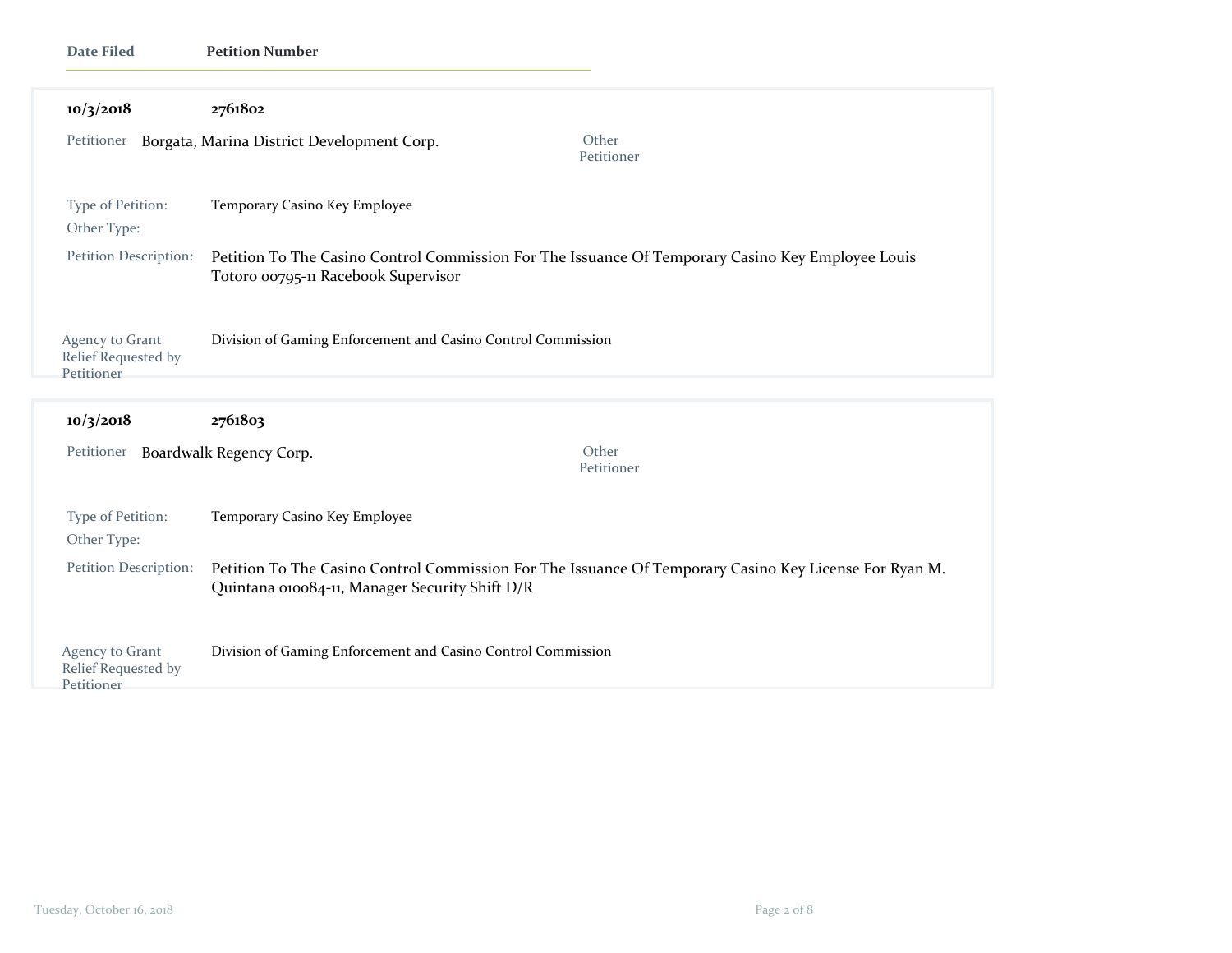| <b>Date Filed</b>                                    | <b>Petition Number</b>                                                                                                                                   |  |
|------------------------------------------------------|----------------------------------------------------------------------------------------------------------------------------------------------------------|--|
| 10/3/2018                                            | 2761802                                                                                                                                                  |  |
| Petitioner                                           | Other<br>Borgata, Marina District Development Corp.<br>Petitioner                                                                                        |  |
| Type of Petition:<br>Other Type:                     | Temporary Casino Key Employee                                                                                                                            |  |
| Petition Description:                                | Petition To The Casino Control Commission For The Issuance Of Temporary Casino Key Employee Louis<br>Totoro 00795-11 Racebook Supervisor                 |  |
| Agency to Grant<br>Relief Requested by<br>Petitioner | Division of Gaming Enforcement and Casino Control Commission                                                                                             |  |
| 10/3/2018                                            | 2761803                                                                                                                                                  |  |
| Petitioner                                           | Other<br>Boardwalk Regency Corp.<br>Petitioner                                                                                                           |  |
| Type of Petition:<br>Other Type:                     | Temporary Casino Key Employee                                                                                                                            |  |
| Petition Description:                                | Petition To The Casino Control Commission For The Issuance Of Temporary Casino Key License For Ryan M.<br>Quintana 010084-11, Manager Security Shift D/R |  |
| Agency to Grant<br>Relief Requested by<br>Petitioner | Division of Gaming Enforcement and Casino Control Commission                                                                                             |  |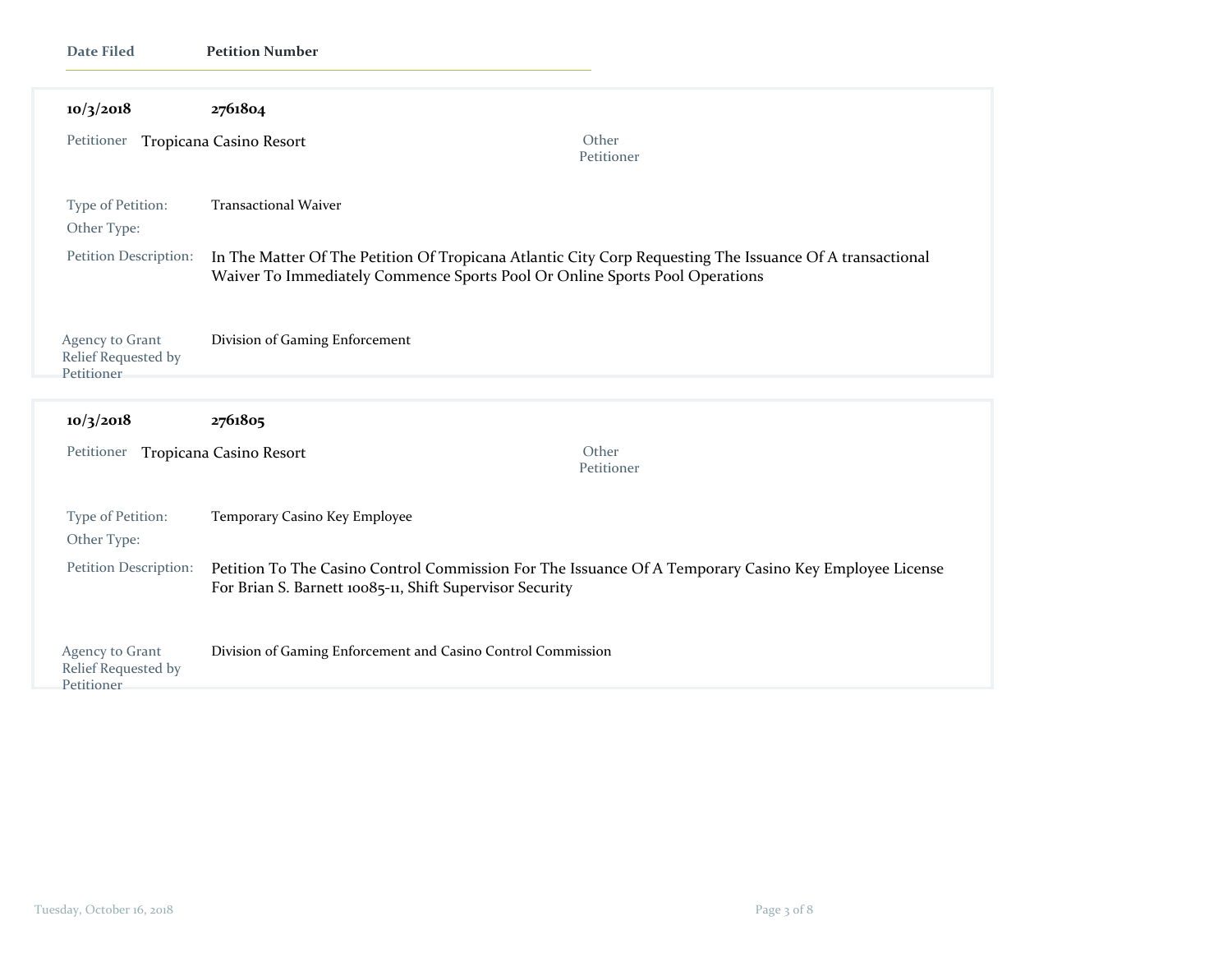| <b>Date Filed</b>                                    | <b>Petition Number</b>                                                                                                                                            |                                                                                                                                                                                         |  |
|------------------------------------------------------|-------------------------------------------------------------------------------------------------------------------------------------------------------------------|-----------------------------------------------------------------------------------------------------------------------------------------------------------------------------------------|--|
| 10/3/2018                                            | 2761804                                                                                                                                                           |                                                                                                                                                                                         |  |
| Petitioner Tropicana Casino Resort                   |                                                                                                                                                                   | Other<br>Petitioner                                                                                                                                                                     |  |
| Type of Petition:<br>Other Type:                     | <b>Transactional Waiver</b>                                                                                                                                       |                                                                                                                                                                                         |  |
| Petition Description:                                |                                                                                                                                                                   | In The Matter Of The Petition Of Tropicana Atlantic City Corp Requesting The Issuance Of A transactional<br>Waiver To Immediately Commence Sports Pool Or Online Sports Pool Operations |  |
| Agency to Grant<br>Relief Requested by<br>Petitioner | Division of Gaming Enforcement                                                                                                                                    |                                                                                                                                                                                         |  |
| 10/3/2018                                            | 2761805                                                                                                                                                           |                                                                                                                                                                                         |  |
| Petitioner                                           | Tropicana Casino Resort                                                                                                                                           | Other<br>Petitioner                                                                                                                                                                     |  |
| Type of Petition:<br>Other Type:                     | Temporary Casino Key Employee                                                                                                                                     |                                                                                                                                                                                         |  |
| Petition Description:                                | Petition To The Casino Control Commission For The Issuance Of A Temporary Casino Key Employee License<br>For Brian S. Barnett 10085-11, Shift Supervisor Security |                                                                                                                                                                                         |  |
| Agency to Grant<br>Relief Requested by<br>Petitioner | Division of Gaming Enforcement and Casino Control Commission                                                                                                      |                                                                                                                                                                                         |  |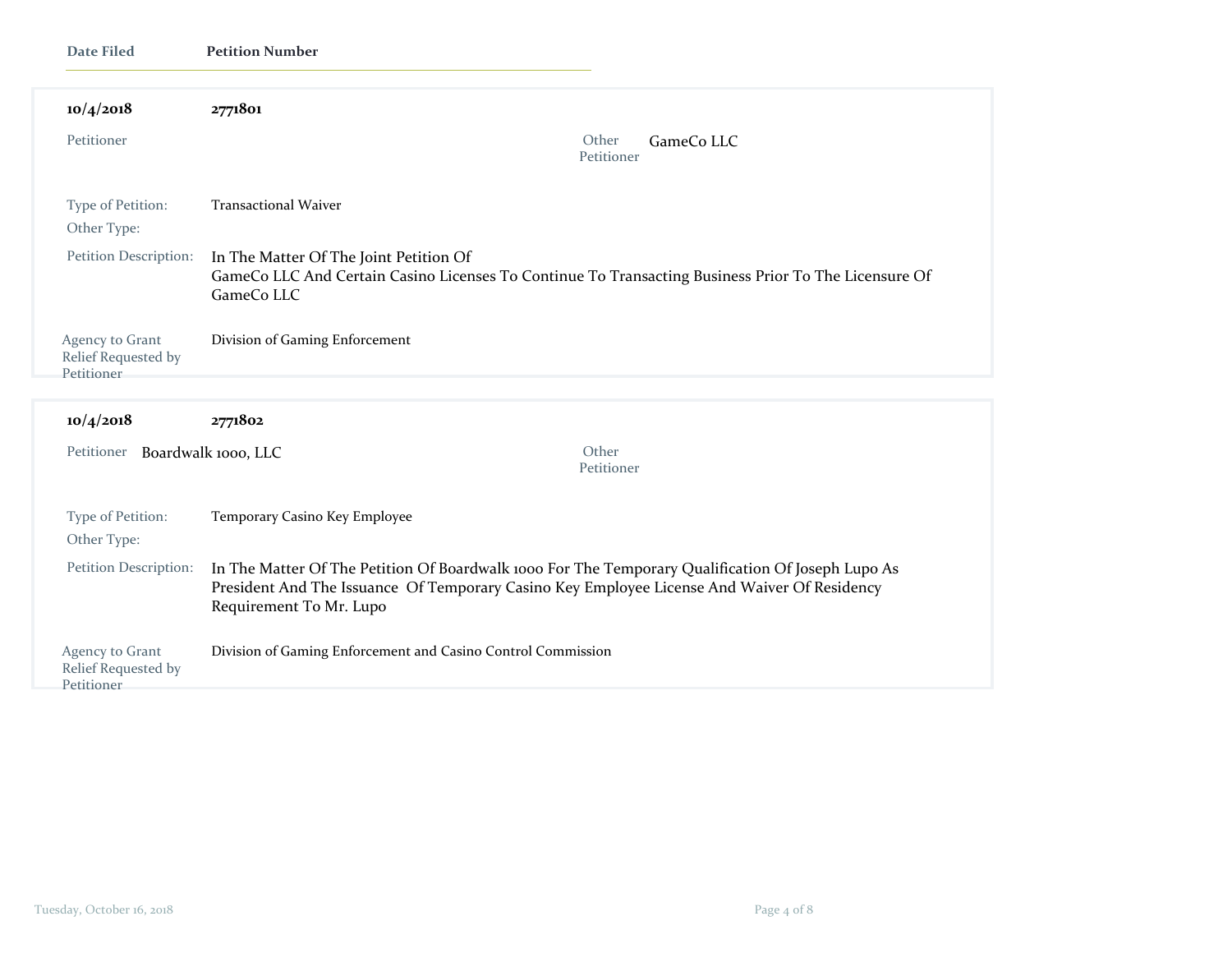| <b>Date Filed</b>                                    | <b>Petition Number</b>                                                                                                                                                                                                      |  |
|------------------------------------------------------|-----------------------------------------------------------------------------------------------------------------------------------------------------------------------------------------------------------------------------|--|
| 10/4/2018                                            | 2771801                                                                                                                                                                                                                     |  |
| Petitioner                                           | Other<br>GameCo LLC<br>Petitioner                                                                                                                                                                                           |  |
| Type of Petition:<br>Other Type:                     | <b>Transactional Waiver</b>                                                                                                                                                                                                 |  |
| Petition Description:                                | In The Matter Of The Joint Petition Of<br>GameCo LLC And Certain Casino Licenses To Continue To Transacting Business Prior To The Licensure Of<br>GameCo LLC                                                                |  |
| Agency to Grant<br>Relief Requested by<br>Petitioner | Division of Gaming Enforcement                                                                                                                                                                                              |  |
| 10/4/2018                                            | 2771802                                                                                                                                                                                                                     |  |
| Petitioner                                           | Other<br>Boardwalk 1000, LLC<br>Petitioner                                                                                                                                                                                  |  |
| Type of Petition:<br>Other Type:                     | Temporary Casino Key Employee                                                                                                                                                                                               |  |
| Petition Description:                                | In The Matter Of The Petition Of Boardwalk 1000 For The Temporary Qualification Of Joseph Lupo As<br>President And The Issuance Of Temporary Casino Key Employee License And Waiver Of Residency<br>Requirement To Mr. Lupo |  |
| Agency to Grant<br>Relief Requested by<br>Petitioner | Division of Gaming Enforcement and Casino Control Commission                                                                                                                                                                |  |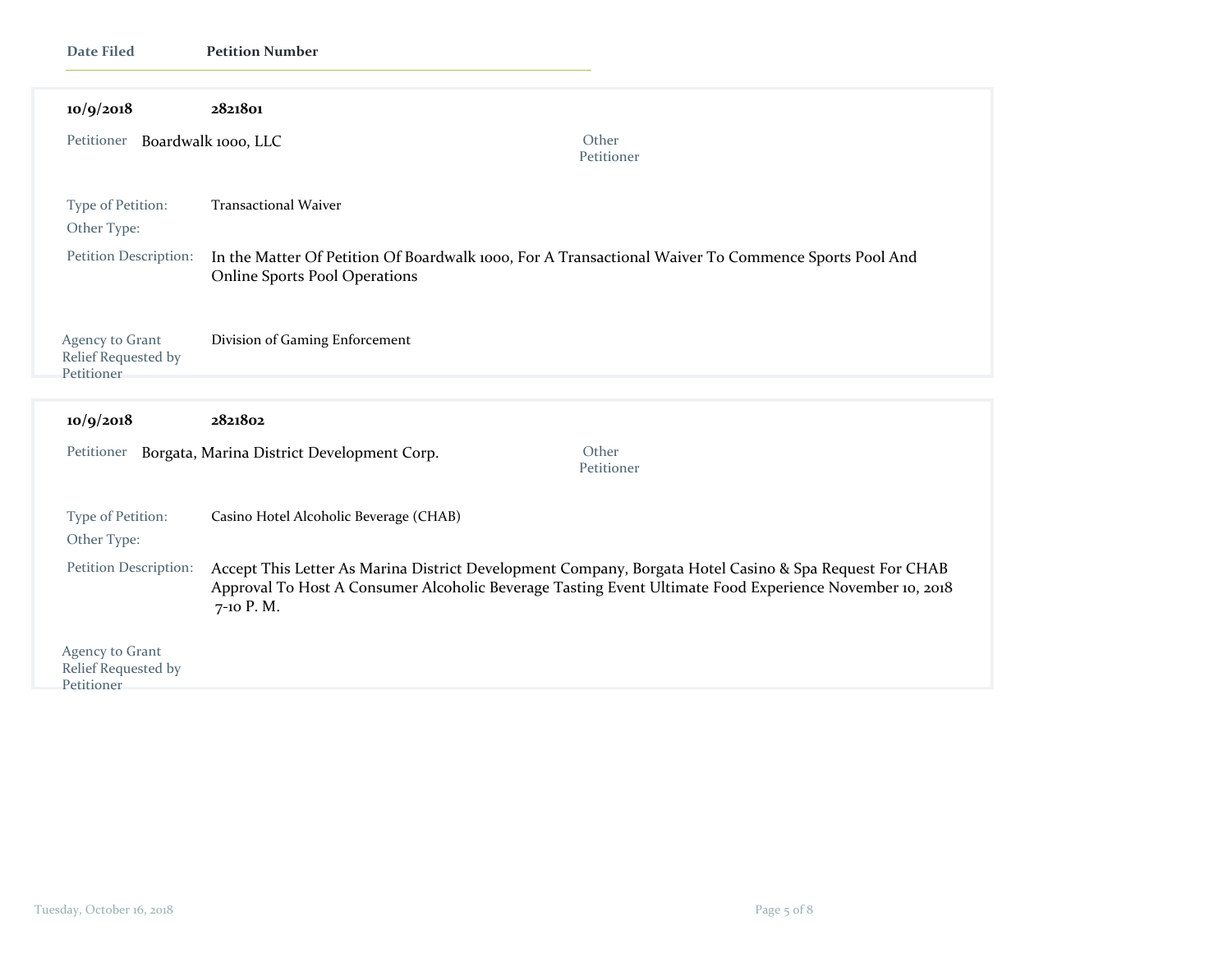| <b>Date Filed</b>                                    | <b>Petition Number</b>                                                                                                                                                                                                         |                     |
|------------------------------------------------------|--------------------------------------------------------------------------------------------------------------------------------------------------------------------------------------------------------------------------------|---------------------|
| 10/9/2018                                            | 2821801                                                                                                                                                                                                                        |                     |
| Petitioner Boardwalk 1000, LLC                       |                                                                                                                                                                                                                                | Other<br>Petitioner |
| Type of Petition:<br>Other Type:                     | <b>Transactional Waiver</b>                                                                                                                                                                                                    |                     |
| Petition Description:                                | In the Matter Of Petition Of Boardwalk 1000, For A Transactional Waiver To Commence Sports Pool And<br><b>Online Sports Pool Operations</b>                                                                                    |                     |
| Agency to Grant<br>Relief Requested by<br>Petitioner | Division of Gaming Enforcement                                                                                                                                                                                                 |                     |
| 10/9/2018                                            | 2821802                                                                                                                                                                                                                        |                     |
|                                                      | Petitioner Borgata, Marina District Development Corp.                                                                                                                                                                          | Other<br>Petitioner |
| Type of Petition:<br>Other Type:                     | Casino Hotel Alcoholic Beverage (CHAB)                                                                                                                                                                                         |                     |
| Petition Description:                                | Accept This Letter As Marina District Development Company, Borgata Hotel Casino & Spa Request For CHAB<br>Approval To Host A Consumer Alcoholic Beverage Tasting Event Ultimate Food Experience November 10, 2018<br>7-10 P.M. |                     |
| Agency to Grant<br>Relief Requested by<br>Petitioner |                                                                                                                                                                                                                                |                     |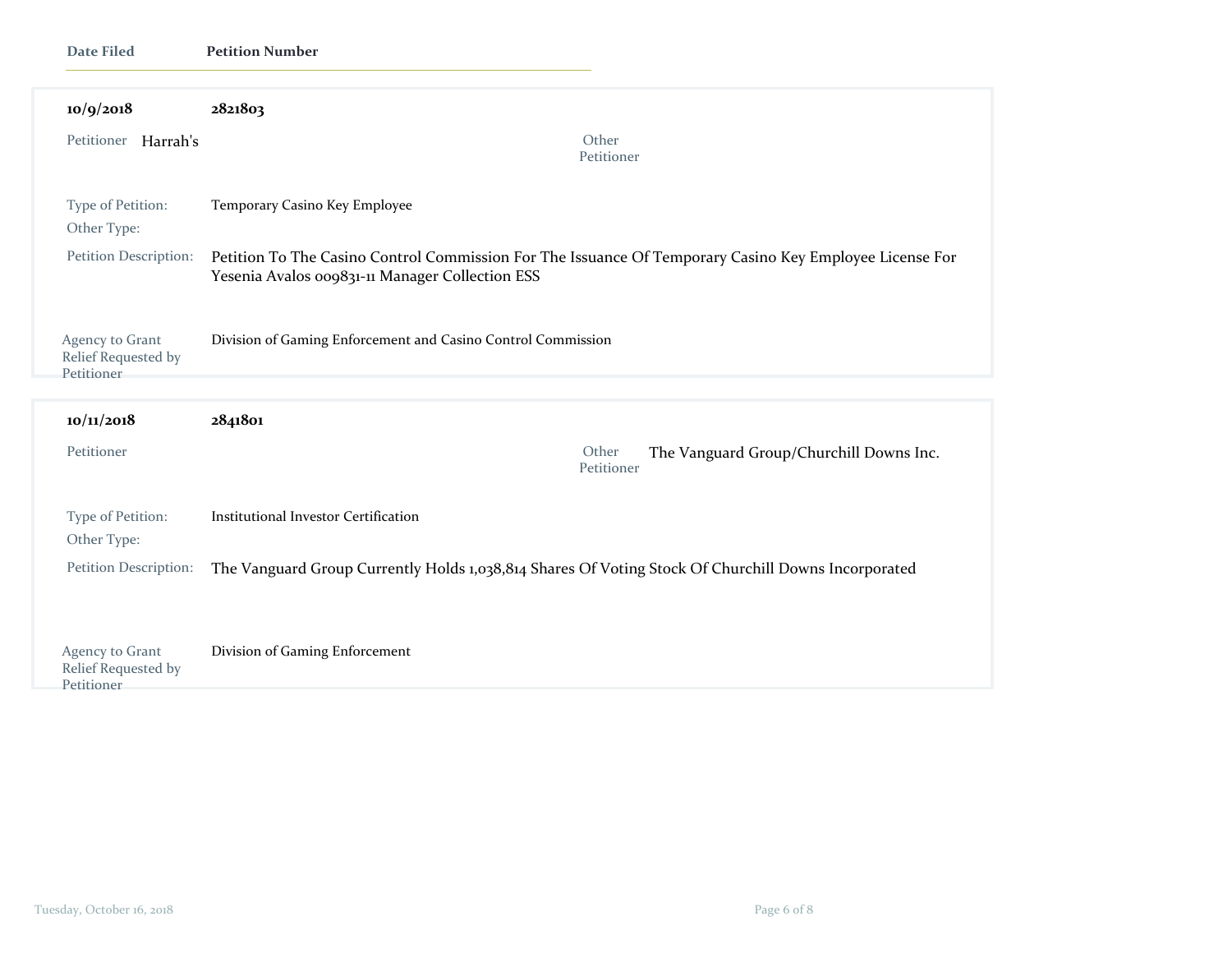| Date Filed                                           | <b>Petition Number</b>                                                                                                                                     |                                                                |
|------------------------------------------------------|------------------------------------------------------------------------------------------------------------------------------------------------------------|----------------------------------------------------------------|
| 10/9/2018                                            | 2821803                                                                                                                                                    |                                                                |
| Petitioner Harrah's                                  |                                                                                                                                                            | Other<br>Petitioner                                            |
| Type of Petition:<br>Other Type:                     | Temporary Casino Key Employee                                                                                                                              |                                                                |
| Petition Description:                                | Petition To The Casino Control Commission For The Issuance Of Temporary Casino Key Employee License For<br>Yesenia Avalos 009831-11 Manager Collection ESS |                                                                |
| Agency to Grant<br>Relief Requested by<br>Petitioner | Division of Gaming Enforcement and Casino Control Commission                                                                                               |                                                                |
| 10/11/2018                                           | 2841801                                                                                                                                                    |                                                                |
| Petitioner                                           |                                                                                                                                                            | Other<br>The Vanguard Group/Churchill Downs Inc.<br>Petitioner |
| Type of Petition:<br>Other Type:                     | <b>Institutional Investor Certification</b>                                                                                                                |                                                                |
| Petition Description:                                | The Vanguard Group Currently Holds 1,038,814 Shares Of Voting Stock Of Churchill Downs Incorporated                                                        |                                                                |
| Agency to Grant<br>Relief Requested by<br>Petitioner | Division of Gaming Enforcement                                                                                                                             |                                                                |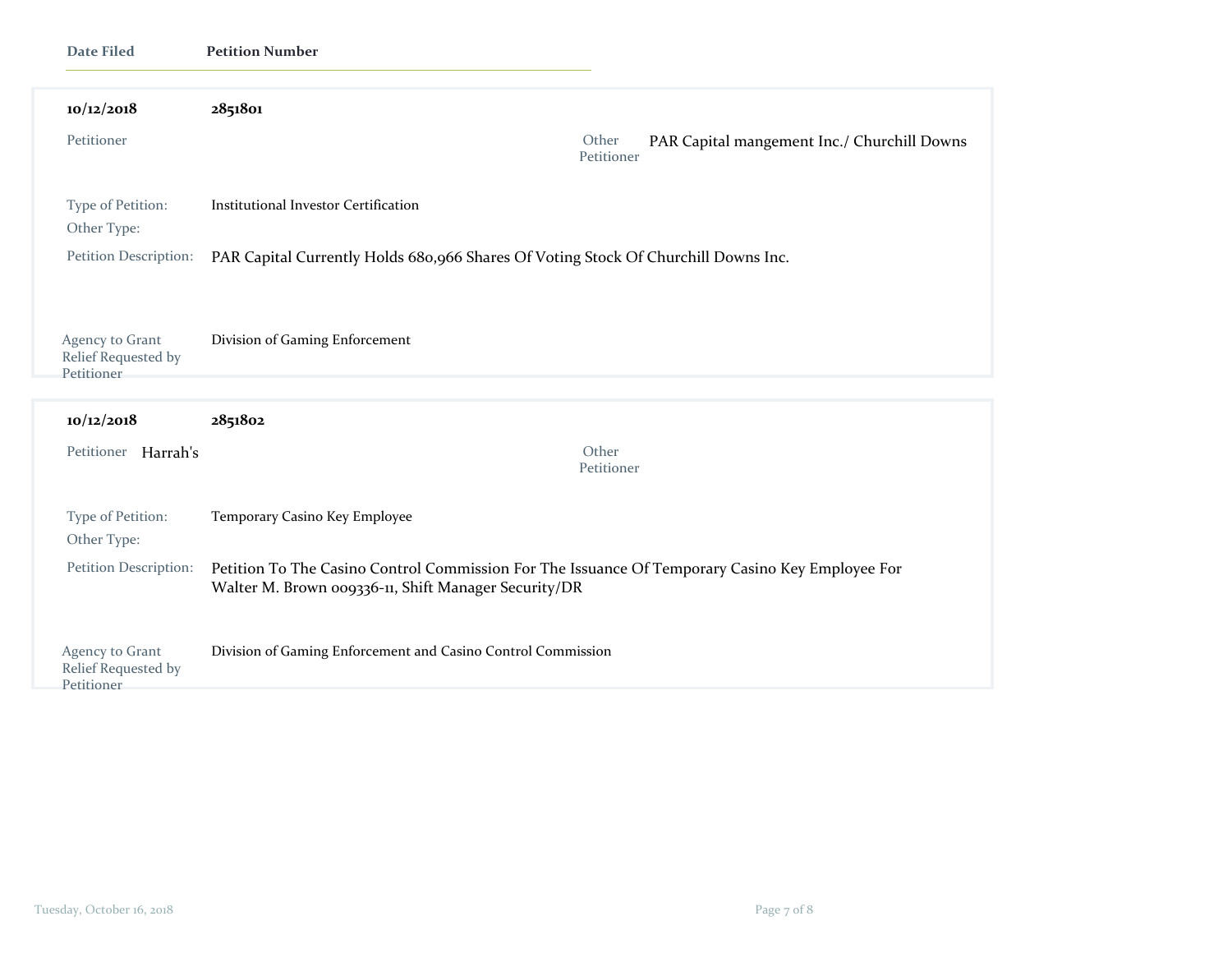| <b>Date Filed</b>                                    | <b>Petition Number</b>                                                                                                                                  |  |
|------------------------------------------------------|---------------------------------------------------------------------------------------------------------------------------------------------------------|--|
| 10/12/2018                                           | 2851801                                                                                                                                                 |  |
| Petitioner                                           | Other<br>PAR Capital mangement Inc./ Churchill Downs<br>Petitioner                                                                                      |  |
| Type of Petition:<br>Other Type:                     | Institutional Investor Certification                                                                                                                    |  |
| Petition Description:                                | PAR Capital Currently Holds 680,966 Shares Of Voting Stock Of Churchill Downs Inc.                                                                      |  |
| Agency to Grant<br>Relief Requested by               | Division of Gaming Enforcement                                                                                                                          |  |
| Petitioner                                           |                                                                                                                                                         |  |
| 10/12/2018                                           | 2851802                                                                                                                                                 |  |
| Petitioner Harrah's                                  | Other<br>Petitioner                                                                                                                                     |  |
| Type of Petition:<br>Other Type:                     | Temporary Casino Key Employee                                                                                                                           |  |
| Petition Description:                                | Petition To The Casino Control Commission For The Issuance Of Temporary Casino Key Employee For<br>Walter M. Brown 009336-11, Shift Manager Security/DR |  |
| Agency to Grant<br>Relief Requested by<br>Petitioner | Division of Gaming Enforcement and Casino Control Commission                                                                                            |  |